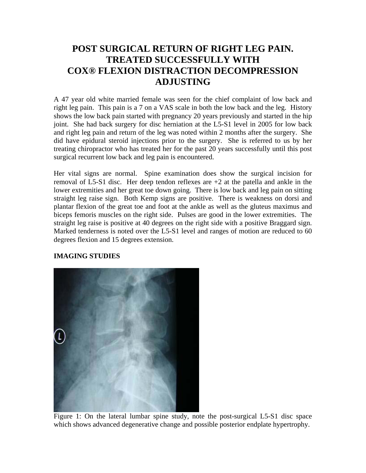## **POST SURGICAL RETURN OF RIGHT LEG PAIN. TREATED SUCCESSFULLY WITH COX® FLEXION DISTRACTION DECOMPRESSION ADJUSTING**

A 47 year old white married female was seen for the chief complaint of low back and right leg pain. This pain is a 7 on a VAS scale in both the low back and the leg. History shows the low back pain started with pregnancy 20 years previously and started in the hip joint. She had back surgery for disc herniation at the L5-S1 level in 2005 for low back and right leg pain and return of the leg was noted within 2 months after the surgery. She did have epidural steroid injections prior to the surgery. She is referred to us by her treating chiropractor who has treated her for the past 20 years successfully until this post surgical recurrent low back and leg pain is encountered.

Her vital signs are normal. Spine examination does show the surgical incision for removal of L5-S1 disc. Her deep tendon reflexes are +2 at the patella and ankle in the lower extremities and her great toe down going. There is low back and leg pain on sitting straight leg raise sign. Both Kemp signs are positive. There is weakness on dorsi and plantar flexion of the great toe and foot at the ankle as well as the gluteus maximus and biceps femoris muscles on the right side. Pulses are good in the lower extremities. The straight leg raise is positive at 40 degrees on the right side with a positive Braggard sign. Marked tenderness is noted over the L5-S1 level and ranges of motion are reduced to 60 degrees flexion and 15 degrees extension.

## **IMAGING STUDIES**



Figure 1: On the lateral lumbar spine study, note the post-surgical L5-S1 disc space which shows advanced degenerative change and possible posterior endplate hypertrophy.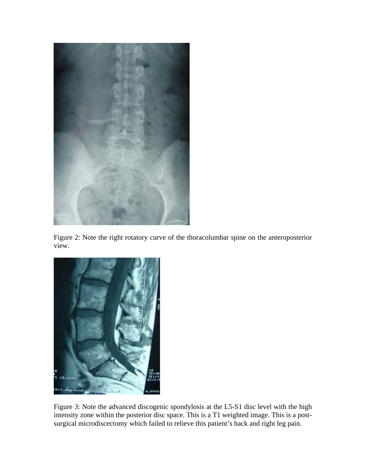

Figure 2: Note the right rotatory curve of the thoracolumbar spine on the anteroposterior view.



Figure 3: Note the advanced discogenic spondylosis at the L5-S1 disc level with the high intensity zone within the posterior disc space. This is a T1 weighted image. This is a postsurgical microdiscectomy which failed to relieve this patient's back and right leg pain.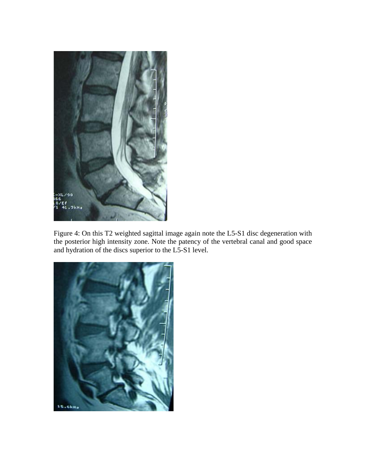

Figure 4: On this T2 weighted sagittal image again note the L5-S1 disc degeneration with the posterior high intensity zone. Note the patency of the vertebral canal and good space and hydration of the discs superior to the L5-S1 level.

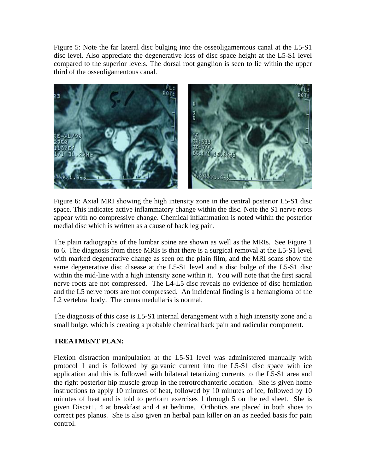Figure 5: Note the far lateral disc bulging into the osseoligamentous canal at the L5-S1 disc level. Also appreciate the degenerative loss of disc space height at the L5-S1 level compared to the superior levels. The dorsal root ganglion is seen to lie within the upper third of the osseoligamentous canal.



Figure 6: Axial MRI showing the high intensity zone in the central posterior L5-S1 disc space. This indicates active inflammatory change within the disc. Note the S1 nerve roots appear with no compressive change. Chemical inflammation is noted within the posterior medial disc which is written as a cause of back leg pain.

The plain radiographs of the lumbar spine are shown as well as the MRIs. See Figure 1 to 6. The diagnosis from these MRIs is that there is a surgical removal at the L5-S1 level with marked degenerative change as seen on the plain film, and the MRI scans show the same degenerative disc disease at the L5-S1 level and a disc bulge of the L5-S1 disc within the mid-line with a high intensity zone within it. You will note that the first sacral nerve roots are not compressed. The L4-L5 disc reveals no evidence of disc herniation and the L5 nerve roots are not compressed. An incidental finding is a hemangioma of the L2 vertebral body. The conus medullaris is normal.

The diagnosis of this case is L5-S1 internal derangement with a high intensity zone and a small bulge, which is creating a probable chemical back pain and radicular component.

## **TREATMENT PLAN:**

Flexion distraction manipulation at the L5-S1 level was administered manually with protocol 1 and is followed by galvanic current into the L5-S1 disc space with ice application and this is followed with bilateral tetanizing currents to the L5-S1 area and the right posterior hip muscle group in the retrotrochanteric location. She is given home instructions to apply 10 minutes of heat, followed by 10 minutes of ice, followed by 10 minutes of heat and is told to perform exercises 1 through 5 on the red sheet. She is given Discat+, 4 at breakfast and 4 at bedtime. Orthotics are placed in both shoes to correct pes planus. She is also given an herbal pain killer on an as needed basis for pain control.